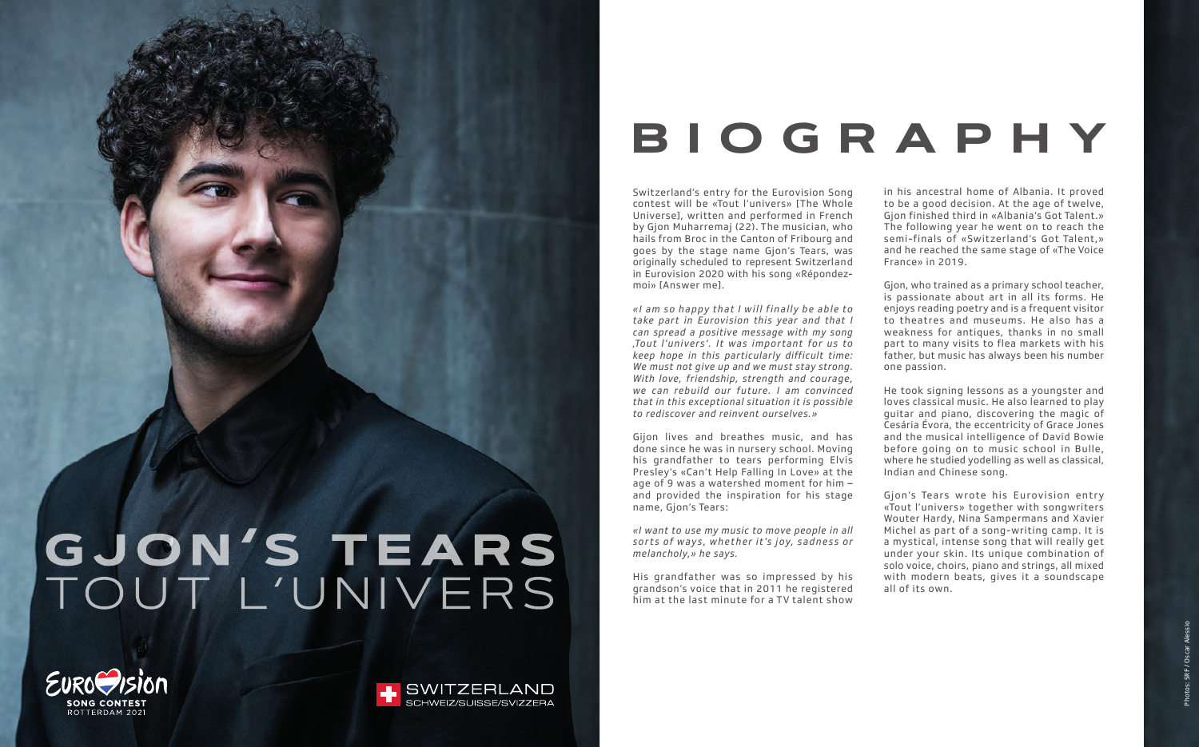## GJON'S TEARS TOUT L'UNIVERS



Switzerland's entry for the Eurovision Song contest will be «Tout l'univers» [The Whole Universe], written and performed in French by Gjon Muharremaj (22). The musician, who hails from Broc in the Canton of Fribourg and goes by the stage name Gjon's Tears, was originally scheduled to represent Switzerland in Eurovision 2020 with his song «Répondezmoi» [Answer me].

*«I am so happy that I will finally be able to take part in Eurovision this year and that I can spread a positive message with my song 'Tout l'univers'. It was impor tant for us to keep hope in this particularly difficult time: We must not give up and we must stay strong. With love, friendship, strength and courage, we can rebuild our future. I am convinced that in this exceptional situation it is possible to rediscover and reinvent ourselves.»*

Gijon lives and breathes music, and has done since he was in nursery school. Moving his grandfather to tears performing Elvis Presley's «Can't Help Falling In Love» at the age of 9 was a watershed moment for him – and provided the inspiration for his stage name, Gjon's Tears:

*«I want to use my music to move people in all*  sorts of ways, whether it's joy, sadness or *melancholy,» he says.*

His grandfather was so impressed by his grandson's voice that in 2011 he registered him at the last minute for a TV talent show

in his ancestral home of Albania. It proved to be a good decision. At the age of twelve, Gjon finished third in «Albania's Got Talent.» The following year he went on to reach the semi-finals of «Switzerland's Got Talent,» and he reached the same stage of «The Voice France» in 2019.

Gjon, who trained as a primary school teacher, is passionate about art in all its forms. He enjoys reading poetry and is a frequent visitor to theatres and museums. He also has a weakness for antiques, thanks in no small part to many visits to flea markets with his father, but music has always been his number one passion.

He took signing lessons as a youngster and loves classical music. He also learned to play guitar and piano, discovering the magic of Cesária Évora, the eccentricity of Grace Jones and the musical intelligence of David Bowie before going on to music school in Bulle, where he studied yodelling as well as classical, Indian and Chinese song.

Gjon's Tears wrote his Eurovision entry «Tout l'univers» together with songwriters Wouter Hardy, Nina Sampermans and Xavier Michel as part of a song-writing camp. It is a mystical, intense song that will really get under your skin. Its unique combination of solo voice, choirs, piano and strings, all mixed with modern beats, gives it a soundscape all of its own.

Photos: SRF / Oscar Alessio